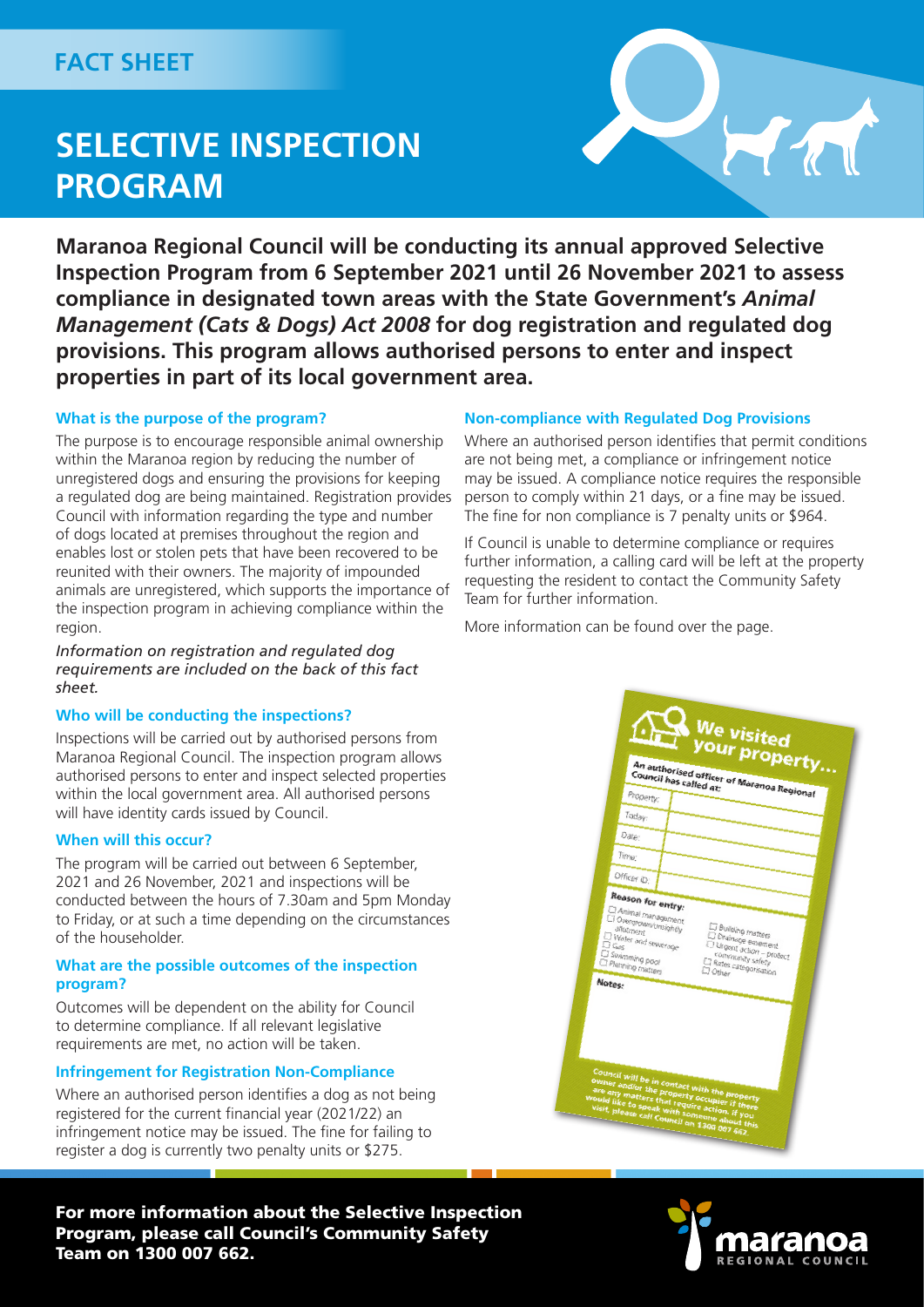## FACT SHEET

# **SELECTIVE INSPECTION PROGRAM**



**Maranoa Regional Council will be conducting its annual approved Selective Inspection Program from 6 September 2021 until 26 November 2021 to assess compliance in designated town areas with the State Government's** *Animal Management (Cats & Dogs) Act 2008* **for dog registration and regulated dog provisions. This program allows authorised persons to enter and inspect properties in part of its local government area.**

#### **What is the purpose of the program?**

The purpose is to encourage responsible animal ownership within the Maranoa region by reducing the number of unregistered dogs and ensuring the provisions for keeping a regulated dog are being maintained. Registration provides Council with information regarding the type and number of dogs located at premises throughout the region and enables lost or stolen pets that have been recovered to be reunited with their owners. The majority of impounded animals are unregistered, which supports the importance of the inspection program in achieving compliance within the region.

*Information on registration and regulated dog requirements are included on the back of this fact sheet.*

#### **Who will be conducting the inspections?**

Inspections will be carried out by authorised persons from Maranoa Regional Council. The inspection program allows authorised persons to enter and inspect selected properties within the local government area. All authorised persons will have identity cards issued by Council.

#### **When will this occur?**

The program will be carried out between 6 September, 2021 and 26 November, 2021 and inspections will be conducted between the hours of 7.30am and 5pm Monday to Friday, or at such a time depending on the circumstances of the householder.

#### **What are the possible outcomes of the inspection program?**

Outcomes will be dependent on the ability for Council to determine compliance. If all relevant legislative requirements are met, no action will be taken.

#### **Infringement for Registration Non-Compliance**

Where an authorised person identifies a dog as not being registered for the current financial year (2021/22) an infringement notice may be issued. The fine for failing to register a dog is currently two penalty units or \$275.

For more information about the Selective Inspection Program, please call Council's Community Safety Team on 1300 007 662.

#### **Non-compliance with Regulated Dog Provisions**

Where an authorised person identifies that permit conditions are not being met, a compliance or infringement notice may be issued. A compliance notice requires the responsible person to comply within 21 days, or a fine may be issued. The fine for non compliance is 7 penalty units or \$964.

If Council is unable to determine compliance or requires further information, a calling card will be left at the property requesting the resident to contact the Community Safety Team for further information.

More information can be found over the page.